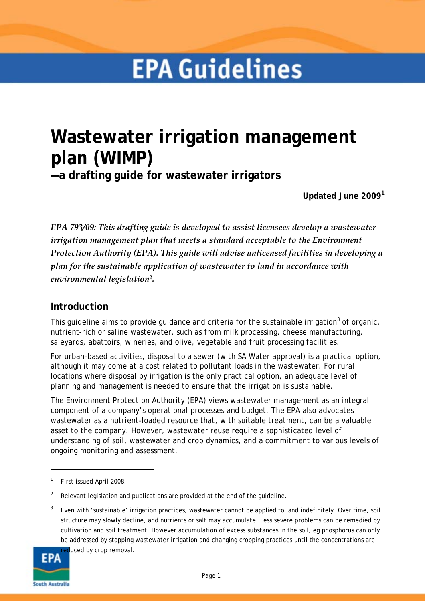# **EPA Guidelines**

# **Wastewater irrigation management plan (WIMP)**

**—a drafting guide for wastewater irrigators** 

**Updated June 2009[1](#page-0-0)**

*EPA 793/09: This drafting guide is developed to assist licensees develop a wastewater irrigation management plan that meets a standard acceptable to the Environment Protection Authority (EPA). This guide will advise unlicensed facilities in developing a plan for the sustainable application of wastewater to land in accordance with environmental legislation2.* 

# **Introduction**

This guideline aims to provide guidance and criteria for the sustainable irrigation<sup>[3](#page-0-1)</sup> of organic, nutrient-rich or saline wastewater, such as from milk processing, cheese manufacturing, saleyards, abattoirs, wineries, and olive, vegetable and fruit processing facilities.

For urban-based activities, disposal to a sewer (with SA Water approval) is a practical option, although it may come at a cost related to pollutant loads in the wastewater. For rural locations where disposal by irrigation is the only practical option, an adequate level of planning and management is needed to ensure that the irrigation is sustainable.

The Environment Protection Authority (EPA) views wastewater management as an integral component of a company's operational processes and budget. The EPA also advocates wastewater as a nutrient-loaded resource that, with suitable treatment, can be a valuable asset to the company. However, wastewater reuse require a sophisticated level of understanding of soil, wastewater and crop dynamics, and a commitment to various levels of ongoing monitoring and assessment.

<span id="page-0-1"></span>3 Even with 'sustainable' irrigation practices, wastewater cannot be applied to land indefinitely. Over time, soil structure may slowly decline, and nutrients or salt may accumulate. Less severe problems can be remedied by cultivation and soil treatment. However accumulation of excess substances in the soil, eg phosphorus can only be addressed by stopping wastewater irrigation and changing cropping practices until the concentrations are



<span id="page-0-0"></span><sup>1</sup> First issued April 2008.

<sup>2</sup> Relevant legislation and publications are provided at the end of the guideline.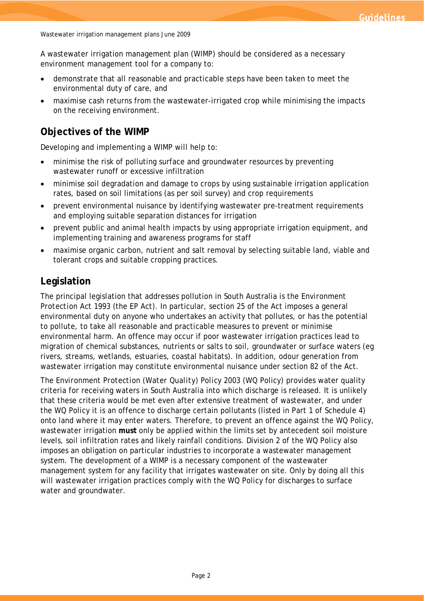A wastewater irrigation management plan (WIMP) should be considered as a necessary environment management tool for a company to:

- demonstrate that all reasonable and practicable steps have been taken to meet the environmental duty of care, and
- maximise cash returns from the wastewater-irrigated crop while minimising the impacts on the receiving environment.

# **Objectives of the WIMP**

Developing and implementing a WIMP will help to:

- minimise the risk of polluting surface and groundwater resources by preventing wastewater runoff or excessive infiltration
- minimise soil degradation and damage to crops by using sustainable irrigation application rates, based on soil limitations (as per soil survey) and crop requirements
- prevent environmental nuisance by identifying wastewater pre-treatment requirements and employing suitable separation distances for irrigation
- prevent public and animal health impacts by using appropriate irrigation equipment, and implementing training and awareness programs for staff
- maximise organic carbon, nutrient and salt removal by selecting suitable land, viable and tolerant crops and suitable cropping practices.

# **Legislation**

The principal legislation that addresses pollution in South Australia is the *Environment Protection Act 1993* (the EP Act). In particular, section 25 of the Act imposes a general environmental duty on anyone who undertakes an activity that pollutes, or has the potential to pollute, to take all reasonable and practicable measures to prevent or minimise environmental harm. An offence may occur if poor wastewater irrigation practices lead to migration of chemical substances, nutrients or salts to soil, groundwater or surface waters (eg rivers, streams, wetlands, estuaries, coastal habitats). In addition, odour generation from wastewater irrigation may constitute environmental nuisance under section 82 of the Act.

The *Environment Protection (Water Quality) Policy 2003* (WQ Policy) provides water quality criteria for receiving waters in South Australia into which discharge is released. It is unlikely that these criteria would be met even after extensive treatment of wastewater, and under the WQ Policy it is an offence to discharge certain pollutants (listed in Part 1 of Schedule 4) onto land where it may enter waters. Therefore, to prevent an offence against the WQ Policy, wastewater irrigation **must** only be applied within the limits set by antecedent soil moisture levels, soil infiltration rates and likely rainfall conditions. Division 2 of the WQ Policy also imposes an obligation on particular industries to incorporate a wastewater management system. The development of a WIMP is a necessary component of the wastewater management system for any facility that irrigates wastewater on site. Only by doing all this will wastewater irrigation practices comply with the WQ Policy for discharges to surface water and groundwater.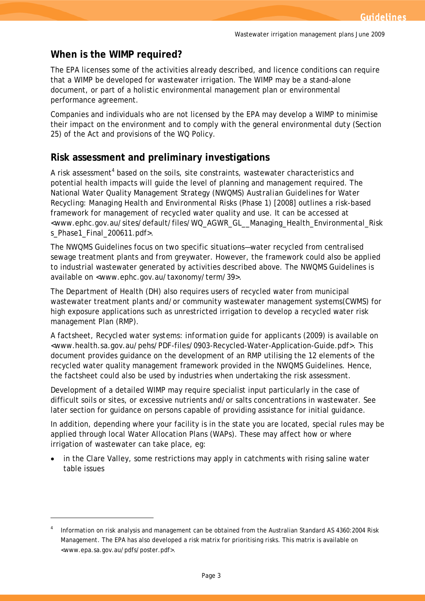# **When is the WIMP required?**

The EPA licenses some of the activities already described, and licence conditions can require that a WIMP be developed for wastewater irrigation. The WIMP may be a stand-alone document, or part of a holistic environmental management plan or environmental performance agreement.

Companies and individuals who are not licensed by the EPA may develop a WIMP to minimise their impact on the environment and to comply with the general environmental duty (Section 25) of the Act and provisions of the WQ Policy.

# **Risk assessment and preliminary investigations**

A risk assessment<sup>[4](#page-2-0)</sup> based on the soils, site constraints, wastewater characteristics and potential health impacts will guide the level of planning and management required. The National Water Quality Management Strategy (NWQMS) *Australian Guidelines for Water Recycling: Managing Health and Environmental Risks (Phase 1)* [2008] outlines a risk-based framework for management of recycled water quality and use. It can be accessed at [<www.ephc.gov.au/sites/default/files/WQ\\_AGWR\\_GL\\_\\_Managing\\_Health\\_Environmental\\_Risk](http://www.ephc.gov.au/sites/default/files/WQ_AGWR_GL__Managing_Health_Environmental_Risks_Phase1_Final_200611.pdf) [s\\_Phase1\\_Final\\_200611.pdf>](http://www.ephc.gov.au/sites/default/files/WQ_AGWR_GL__Managing_Health_Environmental_Risks_Phase1_Final_200611.pdf).

The NWQMS Guidelines focus on two specific situations—water recycled from centralised sewage treatment plants and from greywater. However, the framework could also be applied to industrial wastewater generated by activities described above. The NWQMS Guidelines is available on [<www.ephc.gov.au/taxonomy/term/39>.](http://www.ephc.gov.au/taxonomy/term/39)

The Department of Health (DH) also requires users of recycled water from municipal wastewater treatment plants and/or community wastewater management systems(CWMS) for high exposure applications such as unrestricted irrigation to develop a recycled water risk management Plan (RMP).

A factsheet, *Recycled water systems: information guide for applicants* (2009) is available on <[www.health.sa.gov.au/pehs/PDF-files/0903-Recycled-Water-Application-Guide.pdf](http://www.health.sa.gov.au/pehs/PDF-files/0903-Recycled-Water-Application-Guide.pdf)>. This document provides guidance on the development of an RMP utilising the 12 elements of the recycled water quality management framework provided in the NWQMS Guidelines. Hence, the factsheet could also be used by industries when undertaking the risk assessment.

Development of a detailed WIMP may require specialist input particularly in the case of difficult soils or sites, or excessive nutrients and/or salts concentrations in wastewater. See later section for guidance on persons capable of providing assistance for initial guidance.

In addition, depending where your facility is in the state you are located, special rules may be applied through local Water Allocation Plans (WAPs). These may affect how or where irrigation of wastewater can take place, eg:

• in the Clare Valley, some restrictions may apply in catchments with rising saline water table issues

<span id="page-2-0"></span><sup>4</sup> Information on risk analysis and management can be obtained from the Australian Standard *AS 4360:2004 Risk Management*. The EPA has also developed a risk matrix for prioritising risks. This matrix is available on [<www.epa.sa.gov.au/pdfs/poster.pdf>.](http://www.epa.sa.gov.au/pdfs/poster.pdf)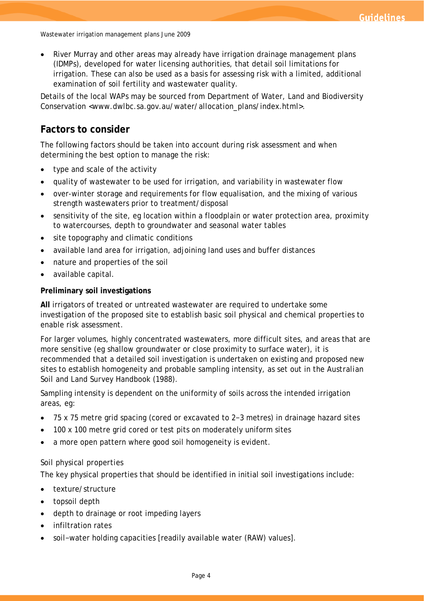• River Murray and other areas may already have irrigation drainage management plans (IDMPs), developed for water licensing authorities, that detail soil limitations for irrigation. These can also be used as a basis for assessing risk with a limited, additional examination of soil fertility and wastewater quality.

Details of the local WAPs may be sourced from Department of Water, Land and Biodiversity Conservation [<www.dwlbc.sa.gov.au/water/allocation\\_plans/index.html>.](http://www.dwlbc.sa.gov.au/water/allocation_plans/index.html)

# **Factors to consider**

The following factors should be taken into account during risk assessment and when determining the best option to manage the risk:

- type and scale of the activity
- quality of wastewater to be used for irrigation, and variability in wastewater flow
- over-winter storage and requirements for flow equalisation, and the mixing of various strength wastewaters prior to treatment/disposal
- sensitivity of the site, eg location within a floodplain or water protection area, proximity to watercourses, depth to groundwater and seasonal water tables
- site topography and climatic conditions
- available land area for irrigation, adjoining land uses and buffer distances
- nature and properties of the soil
- available capital.

#### **Preliminary soil investigations**

**All** irrigators of treated or untreated wastewater are required to undertake some investigation of the proposed site to establish basic soil physical and chemical properties to enable risk assessment.

For larger volumes, highly concentrated wastewaters, more difficult sites, and areas that are more sensitive (eg shallow groundwater or close proximity to surface water), it is recommended that a detailed soil investigation is undertaken on existing and proposed new sites to establish homogeneity and probable sampling intensity, as set out in the *Australian Soil and Land Survey Handbook* (1988).

Sampling intensity is dependent on the uniformity of soils across the intended irrigation areas, eg:

- 75 x 75 metre grid spacing (cored or excavated to 2−3 metres) in drainage hazard sites
- 100 x 100 metre grid cored or test pits on moderately uniform sites
- a more open pattern where good soil homogeneity is evident.

#### *Soil physical properties*

The key physical properties that should be identified in initial soil investigations include:

- texture/structure
- topsoil depth
- depth to drainage or root impeding layers
- infiltration rates
- soil−water holding capacities [readily available water (RAW) values].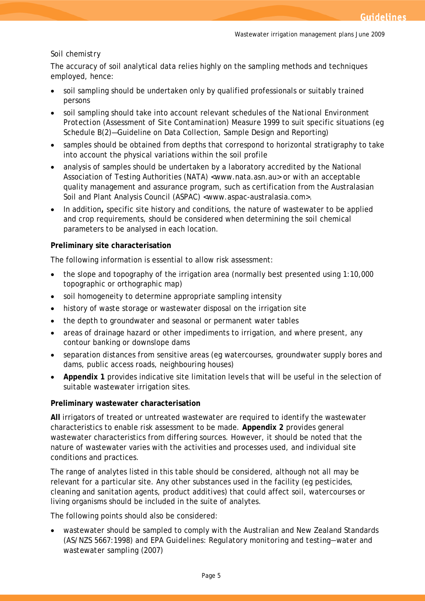#### *Soil chemistry*

The accuracy of soil analytical data relies highly on the sampling methods and techniques employed, hence:

- soil sampling should be undertaken only by qualified professionals or suitably trained persons
- soil sampling should take into account relevant schedules of the *National Environment Protection (Assessment of Site Contamination) Measure 1999* to suit specific situations (eg Schedule B(2)—Guideline on Data Collection, Sample Design and Reporting)
- samples should be obtained from depths that correspond to horizontal stratigraphy to take into account the physical variations within the soil profile
- analysis of samples should be undertaken by a laboratory accredited by the National Association of Testing Authorities (NATA) [<www.nata.asn.au>](http://www.nata.asn.au/) or with an acceptable quality management and assurance program, such as certification from the Australasian Soil and Plant Analysis Council (ASPAC) <www.aspac-australasia.com>.
- In addition**,** specific site history and conditions, the nature of wastewater to be applied and crop requirements, should be considered when determining the soil chemical parameters to be analysed in each location.

#### **Preliminary site characterisation**

The following information is essential to allow risk assessment:

- the slope and topography of the irrigation area (normally best presented using 1:10,000 topographic or orthographic map)
- soil homogeneity to determine appropriate sampling intensity
- history of waste storage or wastewater disposal on the irrigation site
- the depth to groundwater and seasonal or permanent water tables
- areas of drainage hazard or other impediments to irrigation, and where present, any contour banking or downslope dams
- separation distances from sensitive areas (eg watercourses, groundwater supply bores and dams, public access roads, neighbouring houses)
- **Appendix 1** provides indicative site limitation levels that will be useful in the selection of suitable wastewater irrigation sites.

#### **Preliminary wastewater characterisation**

**All** irrigators of treated or untreated wastewater are required to identify the wastewater characteristics to enable risk assessment to be made. **Appendix 2** provides general wastewater characteristics from differing sources. However, it should be noted that the nature of wastewater varies with the activities and processes used, and individual site conditions and practices.

The range of analytes listed in this table should be considered, although not all may be relevant for a particular site. Any other substances used in the facility (eg pesticides, cleaning and sanitation agents, product additives) that could affect soil, watercourses or living organisms should be included in the suite of analytes.

The following points should also be considered:

wastewater should be sampled to comply with the Australian and New Zealand Standards (AS/NZS 5667:1998) and *EPA Guidelines: Regulatory monitoring and testing―water and wastewater sampling* (2007)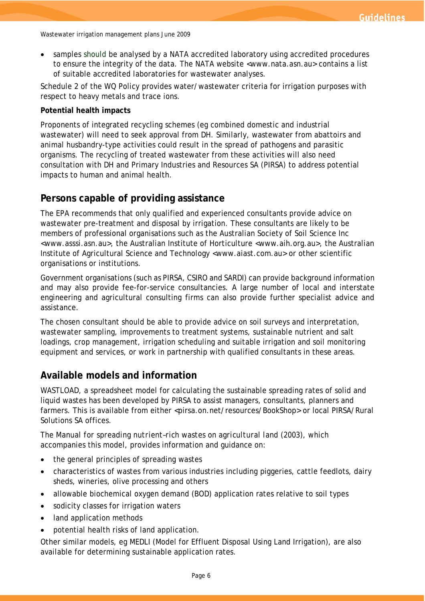• samples should be analysed by a NATA accredited laboratory using accredited procedures to ensure the integrity of the data. The NATA website [<www.nata.asn.au>](http://www.nata.asn.au/) contains a list of suitable accredited laboratories for wastewater analyses.

Schedule 2 of the WQ Policy provides water/wastewater criteria for irrigation purposes with respect to heavy metals and trace ions.

#### **Potential health impacts**

Proponents of integrated recycling schemes (eg combined domestic and industrial wastewater) will need to seek approval from DH. Similarly, wastewater from abattoirs and animal husbandry-type activities could result in the spread of pathogens and parasitic organisms. The recycling of treated wastewater from these activities will also need consultation with DH and Primary Industries and Resources SA (PIRSA) to address potential impacts to human and animal health.

## **Persons capable of providing assistance**

The EPA recommends that only qualified and experienced consultants provide advice on wastewater pre-treatment and disposal by irrigation. These consultants are likely to be members of professional organisations such as the Australian Society of Soil Science Inc [<www.asssi.asn.au>](http://www.asssi.asn.au/), the Australian Institute of Horticulture <www.aih.org.au>, the Australian Institute of Agricultural Science and Technology [<www.aiast.com.au>](http://www.aiast.asn.au/) or other scientific organisations or institutions.

Government organisations (such as PIRSA, CSIRO and SARDI) can provide background information and may also provide fee-for-service consultancies. A large number of local and interstate engineering and agricultural consulting firms can also provide further specialist advice and assistance.

The chosen consultant should be able to provide advice on soil surveys and interpretation, wastewater sampling, improvements to treatment systems, sustainable nutrient and salt loadings, crop management, irrigation scheduling and suitable irrigation and soil monitoring equipment and services, or work in partnership with qualified consultants in these areas.

# **Available models and information**

WASTLOAD, a spreadsheet model for calculating the sustainable spreading rates of solid and liquid wastes has been developed by PIRSA to assist managers, consultants, planners and farmers. This is available from either [<pirsa.on.net/resources/BookShop>](https://pirsa.on.net/resources/BookShop) or local PIRSA/Rural Solutions SA offices.

The *Manual for spreading nutrient–rich wastes on agricultural land* (2003), which accompanies this model, provides information and guidance on:

- the general principles of spreading wastes
- characteristics of wastes from various industries including piggeries, cattle feedlots, dairy sheds, wineries, olive processing and others
- allowable biochemical oxygen demand (BOD) application rates relative to soil types
- sodicity classes for irrigation waters
- land application methods
- potential health risks of land application.

Other similar models, eg MEDLI (Model for Effluent Disposal Using Land Irrigation), are also available for determining sustainable application rates.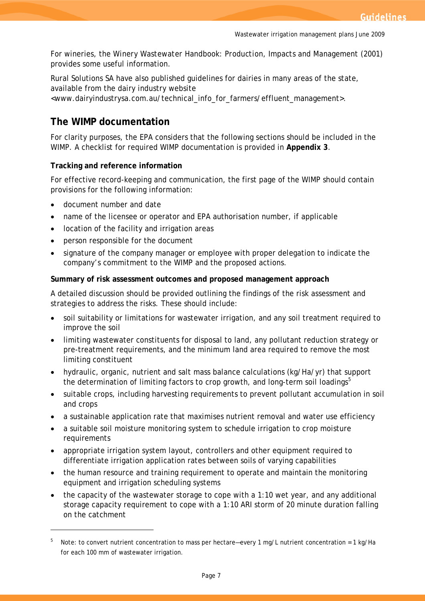For wineries, the *Winery Wastewater Handbook: Production, Impacts and Management* (2001) provides some useful information.

Rural Solutions SA have also published guidelines for dairies in many areas of the state, available from the dairy industry website [<www.dairyindustrysa.com.au/technical\\_info\\_for\\_farmers/effluent\\_management>.](http://www.dairyindustrysa.com.au/technical_info_for_farmers/effluent_management)

# **The WIMP documentation**

For clarity purposes, the EPA considers that the following sections should be included in the WIMP. A checklist for required WIMP documentation is provided in **Appendix 3**.

#### **Tracking and reference information**

For effective record-keeping and communication, the first page of the WIMP should contain provisions for the following information:

• document number and date

- name of the licensee or operator and EPA authorisation number, if applicable
- location of the facility and irrigation areas
- person responsible for the document
- signature of the company manager or employee with proper delegation to indicate the company's commitment to the WIMP and the proposed actions.

#### **Summary of risk assessment outcomes and proposed management approach**

A detailed discussion should be provided outlining the findings of the risk assessment and strategies to address the risks. These should include:

- soil suitability or limitations for wastewater irrigation, and any soil treatment required to improve the soil
- limiting wastewater constituents for disposal to land, any pollutant reduction strategy or pre-treatment requirements, and the minimum land area required to remove the most limiting constituent
- hydraulic, organic, nutrient and salt mass balance calculations (kg/Ha/yr) that support the determination of limiting factors to crop growth, and long-term soil loadings<sup>[5](#page-6-0)</sup>
- suitable crops, including harvesting requirements to prevent pollutant accumulation in soil and crops
- a sustainable application rate that maximises nutrient removal and water use efficiency
- a suitable soil moisture monitoring system to schedule irrigation to crop moisture requirements
- appropriate irrigation system layout, controllers and other equipment required to differentiate irrigation application rates between soils of varying capabilities
- the human resource and training requirement to operate and maintain the monitoring equipment and irrigation scheduling systems
- the capacity of the wastewater storage to cope with a 1:10 wet year, and any additional storage capacity requirement to cope with a 1:10 ARI storm of 20 minute duration falling on the catchment

<span id="page-6-0"></span><sup>5</sup> Note: to convert nutrient concentration to mass per hectare—every 1 mg/L nutrient concentration = 1 kg/Ha for each 100 mm of wastewater irrigation.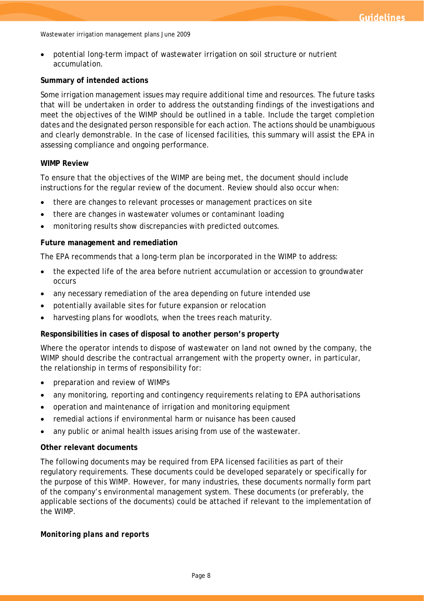• potential long-term impact of wastewater irrigation on soil structure or nutrient accumulation.

#### **Summary of intended actions**

Some irrigation management issues may require additional time and resources. The future tasks that will be undertaken in order to address the outstanding findings of the investigations and meet the objectives of the WIMP should be outlined in a table. Include the target completion dates and the designated person responsible for each action. The actions should be unambiguous and clearly demonstrable. In the case of licensed facilities, this summary will assist the EPA in assessing compliance and ongoing performance.

#### **WIMP Review**

To ensure that the objectives of the WIMP are being met, the document should include instructions for the regular review of the document. Review should also occur when:

- there are changes to relevant processes or management practices on site
- there are changes in wastewater volumes or contaminant loading
- monitoring results show discrepancies with predicted outcomes.

#### **Future management and remediation**

The EPA recommends that a long-term plan be incorporated in the WIMP to address:

- the expected life of the area before nutrient accumulation or accession to groundwater occurs
- any necessary remediation of the area depending on future intended use
- potentially available sites for future expansion or relocation
- harvesting plans for woodlots, when the trees reach maturity.

#### **Responsibilities in cases of disposal to another person's property**

Where the operator intends to dispose of wastewater on land not owned by the company, the WIMP should describe the contractual arrangement with the property owner, in particular, the relationship in terms of responsibility for:

- preparation and review of WIMPs
- any monitoring, reporting and contingency requirements relating to EPA authorisations
- operation and maintenance of irrigation and monitoring equipment
- remedial actions if environmental harm or nuisance has been caused
- any public or animal health issues arising from use of the wastewater.

#### **Other relevant documents**

The following documents may be required from EPA licensed facilities as part of their regulatory requirements. These documents could be developed separately or specifically for the purpose of this WIMP. However, for many industries, these documents normally form part of the company's environmental management system. These documents (or preferably, the applicable sections of the documents) could be attached if relevant to the implementation of the WIMP.

#### *Monitoring plans and reports*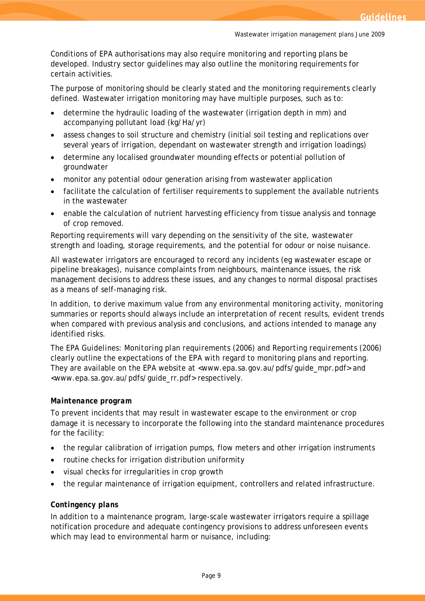Conditions of EPA authorisations may also require monitoring and reporting plans be developed. Industry sector guidelines may also outline the monitoring requirements for certain activities.

The purpose of monitoring should be clearly stated and the monitoring requirements clearly defined. Wastewater irrigation monitoring may have multiple purposes, such as to:

- determine the hydraulic loading of the wastewater (irrigation depth in mm) and accompanying pollutant load (kg/Ha/yr)
- assess changes to soil structure and chemistry (initial soil testing and replications over several years of irrigation, dependant on wastewater strength and irrigation loadings)
- determine any localised groundwater mounding effects or potential pollution of groundwater
- monitor any potential odour generation arising from wastewater application
- facilitate the calculation of fertiliser requirements to supplement the available nutrients in the wastewater
- enable the calculation of nutrient harvesting efficiency from tissue analysis and tonnage of crop removed.

Reporting requirements will vary depending on the sensitivity of the site, wastewater strength and loading, storage requirements, and the potential for odour or noise nuisance.

All wastewater irrigators are encouraged to record any incidents (eg wastewater escape or pipeline breakages), nuisance complaints from neighbours, maintenance issues, the risk management decisions to address these issues, and any changes to normal disposal practises as a means of self-managing risk.

In addition, to derive maximum value from any environmental monitoring activity, monitoring summaries or reports should always include an interpretation of recent results, evident trends when compared with previous analysis and conclusions, and actions intended to manage any identified risks.

The *EPA Guidelines: Monitoring plan requirements* (2006) and *Reporting requirements* (2006) clearly outline the expectations of the EPA with regard to monitoring plans and reporting. They are available on the EPA website at [<www.epa.sa.gov.au/pdfs/guide\\_mpr.pdf>](http://www.epa.sa.gov.au/pdfs/guide_mpr.pdf) and [<www.epa.sa.gov.au/pdfs/guide\\_rr.pdf>](http://www.epa.sa.gov.au/pdfs/guide_rr.pdf) respectively.

#### *Maintenance program*

To prevent incidents that may result in wastewater escape to the environment or crop damage it is necessary to incorporate the following into the standard maintenance procedures for the facility:

- the regular calibration of irrigation pumps, flow meters and other irrigation instruments
- routine checks for irrigation distribution uniformity
- visual checks for irregularities in crop growth
- the regular maintenance of irrigation equipment, controllers and related infrastructure.

#### *Contingency plans*

In addition to a maintenance program, large-scale wastewater irrigators require a spillage notification procedure and adequate contingency provisions to address unforeseen events which may lead to environmental harm or nuisance, including: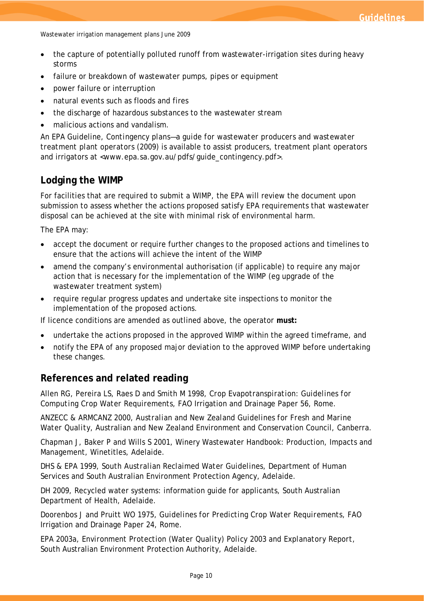- the capture of potentially polluted runoff from wastewater-irrigation sites during heavy storms
- failure or breakdown of wastewater pumps, pipes or equipment
- power failure or interruption
- natural events such as floods and fires
- the discharge of hazardous substances to the wastewater stream
- malicious actions and vandalism.

An EPA Guideline, *Contingency plans—a guide for wastewater producers and wastewater treatment plant operators* (2009) is available to assist producers, treatment plant operators and irrigators at [<www.epa.sa.gov.au/pdfs/guide\\_contingency.pdf>](http://www.epa.sa.gov.au/pdfs/guide_contingency.pdf).

### **Lodging the WIMP**

For facilities that are required to submit a WIMP, the EPA will review the document upon submission to assess whether the actions proposed satisfy EPA requirements that wastewater disposal can be achieved at the site with minimal risk of environmental harm.

The EPA may:

- accept the document or require further changes to the proposed actions and timelines to ensure that the actions will achieve the intent of the WIMP
- amend the company's environmental authorisation (if applicable) to require any major action that is necessary for the implementation of the WIMP (eg upgrade of the wastewater treatment system)
- require regular progress updates and undertake site inspections to monitor the implementation of the proposed actions.

If licence conditions are amended as outlined above, the operator **must:**

- undertake the actions proposed in the approved WIMP within the agreed timeframe, and
- notify the EPA of any proposed major deviation to the approved WIMP before undertaking these changes.

#### **References and related reading**

Allen RG, Pereira LS, Raes D and Smith M 1998, *Crop Evapotranspiration: Guidelines for Computing Crop Water Requirements*, FAO Irrigation and Drainage Paper 56, Rome.

ANZECC & ARMCANZ 2000, *Australian and New Zealand Guidelines for Fresh and Marine Water Quality*, Australian and New Zealand Environment and Conservation Council, Canberra.

Chapman J, Baker P and Wills S 2001, Winery Wastewater Handbook: Production, Impacts and Management, Winetitles, Adelaide.

DHS & EPA 1999, *South Australian Reclaimed Water Guidelines,* Department of Human Services and South Australian Environment Protection Agency, Adelaide.

DH 2009, Recycled water systems: information guide for applicants, South Australian Department of Health, Adelaide.

Doorenbos J and Pruitt WO 1975, *Guidelines for Predicting Crop Water Requirements*, FAO Irrigation and Drainage Paper 24, Rome.

EPA 2003a, *Environment Protection (Water Quality) Policy 2003 and Explanatory Report,* South Australian Environment Protection Authority, Adelaide.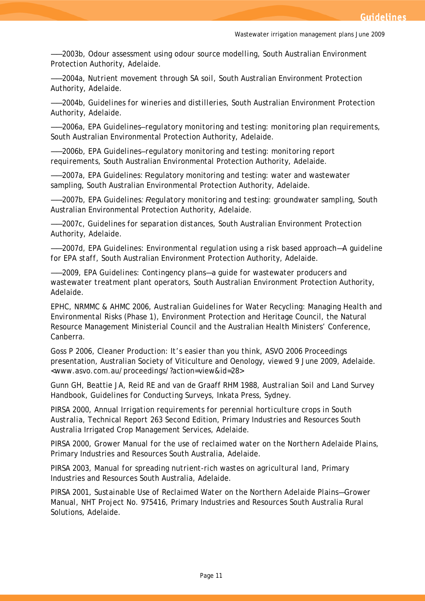——2003b, *Odour assessment using odour source modelling*, South Australian Environment Protection Authority, Adelaide.

——2004a, *Nutrient movement through SA soil*, South Australian Environment Protection Authority, Adelaide.

——2004b, *Guidelines for wineries and distilleries*, South Australian Environment Protection Authority, Adelaide.

——2006a, *EPA Guidelines–regulatory monitoring and testing: monitoring plan requirements*, South Australian Environmental Protection Authority, Adelaide.

——2006b, *EPA Guidelines–regulatory monitoring and testing: monitoring report requirements*, South Australian Environmental Protection Authority, Adelaide.

——2007a*,* EPA Guidelines: Regulatory monitoring and testing: water and wastewater sampling*,* South Australian Environmental Protection Authority, Adelaide.

——2007b, *EPA Guidelines: Regulatory monitoring and testing: groundwater sampling*, South Australian Environmental Protection Authority, Adelaide.

——2007c, *Guidelines for separation distances*, South Australian Environment Protection Authority, Adelaide.

——2007d, *EPA Guidelines: Environmental regulation using a risk based approach*—*A guideline for EPA staff,* South Australian Environment Protection Authority, Adelaide.

——2009, *EPA Guidelines: Contingency plans—a guide for wastewater producers and wastewater treatment plant operators,* South Australian Environment Protection Authority, Adelaide.

EPHC, NRMMC & AHMC 2006, *Australian Guidelines for Water Recycling: Managing Health and Environmental Risks (Phase 1),* Environment Protection and Heritage Council, the Natural Resource Management Ministerial Council and the Australian Health Ministers' Conference, Canberra.

Goss P 2006, *Cleaner Production: It's easier than you think*, ASVO 2006 Proceedings presentation, Australian Society of Viticulture and Oenology, viewed 9 June 2009, Adelaide. <[www.asvo.com.au/proceedings/?action=view&id=28](http://www.asvo.com.au/proceedings/?action=view&id=28)>

Gunn GH, Beattie JA, Reid RE and van de Graaff RHM 1988, *Australian Soil and Land Survey Handbook, Guidelines for Conducting Surveys*, Inkata Press, Sydney.

PIRSA 2000, *Annual Irrigation requirements for perennial horticulture crops in South Australia, Technical Report 263* Second Edition, Primary Industries and Resources South Australia Irrigated Crop Management Services, Adelaide.

PIRSA 2000, *Grower Manual for the use of reclaimed water on the Northern Adelaide Plain*s, Primary Industries and Resources South Australia, Adelaide.

PIRSA 2003, *Manual for spreading nutrient-rich wastes on agricultural land*, Primary Industries and Resources South Australia, Adelaide.

PIRSA 2001, *Sustainable Use of Reclaimed Water on the Northern Adelaide Plains*—*Grower Manual*, NHT Project No. 975416, Primary Industries and Resources South Australia Rural Solutions, Adelaide.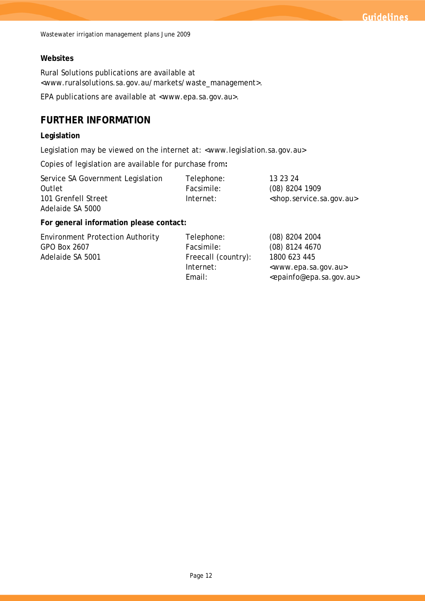#### **Websites**

Rural Solutions publications are available at [<www.ruralsolutions.sa.gov.au/markets/waste\\_management>](http://www.ruralsolutions.sa.gov.au/markets/waste_management).

EPA publications are available at [<www.epa.sa.gov.au>](http://www.epa.sa.gov.au/).

# **FURTHER INFORMATION**

#### **Legislation**

Legislation may be viewed on the internet at: <www.legislation.sa.gov.au>

Copies of legislation are available for purchase from**:** 

| Service SA Government Legislation | Telephone: | 13 23 24                                          |
|-----------------------------------|------------|---------------------------------------------------|
| Outlet                            | Facsimile: | $(08)$ 8204 1909                                  |
| 101 Grenfell Street               | Internet:  | <shop.service.sa.gov.au></shop.service.sa.gov.au> |
| Adelaide SA 5000                  |            |                                                   |

#### **For general information please contact:**

| Telephone:          | $(08)$ 8204 2004                                |
|---------------------|-------------------------------------------------|
| Facsimile:          | $(08)$ 8124 4670                                |
| Freecall (country): | 1800 623 445                                    |
| Internet:           | <www.epa.sa.gov.au></www.epa.sa.gov.au>         |
| Email:              | <epainfo@epa.sa.gov.au></epainfo@epa.sa.gov.au> |
|                     |                                                 |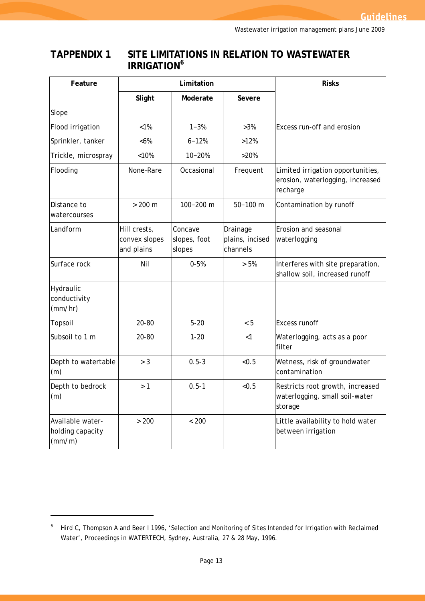# **TAPPENDIX 1 SITE LIMITATIONS IN RELATION TO WASTEWATER IRRIGATION<sup>6</sup>**

| Feature                                        | Limitation                                  |                                   |                                         | <b>Risks</b>                                                                      |  |
|------------------------------------------------|---------------------------------------------|-----------------------------------|-----------------------------------------|-----------------------------------------------------------------------------------|--|
|                                                | Slight<br>Moderate<br>Severe                |                                   |                                         |                                                                                   |  |
| Slope                                          |                                             |                                   |                                         |                                                                                   |  |
| Flood irrigation                               | $< 1\%$                                     | $1 - 3%$                          | $>3\%$                                  | Excess run-off and erosion                                                        |  |
| Sprinkler, tanker                              | &5%                                         | $6 - 12%$                         | >12%                                    |                                                                                   |  |
| Trickle, microspray                            | < 10%                                       | $10 - 20%$                        | >20%                                    |                                                                                   |  |
| Flooding                                       | None-Rare                                   | Occasional                        | Frequent                                | Limited irrigation opportunities,<br>erosion, waterlogging, increased<br>recharge |  |
| Distance to<br>watercourses                    | $> 200 \text{ m}$                           | 100-200 m                         | $50 - 100$ m                            | Contamination by runoff                                                           |  |
| Landform                                       | Hill crests,<br>convex slopes<br>and plains | Concave<br>slopes, foot<br>slopes | Drainage<br>plains, incised<br>channels | Erosion and seasonal<br>waterlogging                                              |  |
| Surface rock                                   | Nil                                         | $0 - 5%$                          | > 5%                                    | Interferes with site preparation,<br>shallow soil, increased runoff               |  |
| Hydraulic<br>conductivity<br>(mm/hr)           |                                             |                                   |                                         |                                                                                   |  |
| Topsoil                                        | 20-80                                       | $5 - 20$                          | < 5                                     | <b>Excess runoff</b>                                                              |  |
| Subsoil to 1 m                                 | 20-80                                       | $1 - 20$                          | $<$ 1                                   | Waterlogging, acts as a poor<br>filter                                            |  |
| Depth to watertable<br>(m)                     | > 3                                         | $0.5 - 3$                         | < 0.5                                   | Wetness, risk of groundwater<br>contamination                                     |  |
| Depth to bedrock<br>(m)                        | >1                                          | $0.5 - 1$                         | <0.5                                    | Restricts root growth, increased<br>waterlogging, small soil-water<br>storage     |  |
| Available water-<br>holding capacity<br>(mm/m) | > 200                                       | < 200                             |                                         | Little availability to hold water<br>between irrigation                           |  |

<sup>&</sup>lt;sup>6</sup> Hird C, Thompson A and Beer I 1996, 'Selection and Monitoring of Sites Intended for Irrigation with Reclaimed Water', *Proceedings in WATERTECH*, Sydney, Australia, 27 & 28 May, 1996.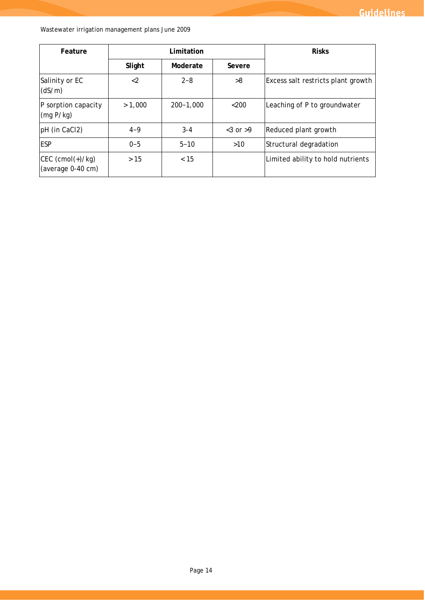| Feature                                  | Limitation |               |               | <b>Risks</b>                       |  |
|------------------------------------------|------------|---------------|---------------|------------------------------------|--|
|                                          | Slight     | Moderate      | Severe        |                                    |  |
| Salinity or EC<br>(dS/m)                 | $<$ 2      | $2 - 8$       | >8            | Excess salt restricts plant growth |  |
| P sorption capacity<br>(mq P/kg)         | > 1,000    | $200 - 1,000$ | $<$ 200       | Leaching of P to groundwater       |  |
| pH (in CaCl2)                            | $4 - 9$    | $3 - 4$       | $<$ 3 or $>9$ | Reduced plant growth               |  |
| <b>ESP</b>                               | $0 - 5$    | $5 - 10$      | $>10$         | Structural degradation             |  |
| $ CEC$ (cmol(+)/kg)<br>(average 0-40 cm) | >15        | < 15          |               | Limited ability to hold nutrients  |  |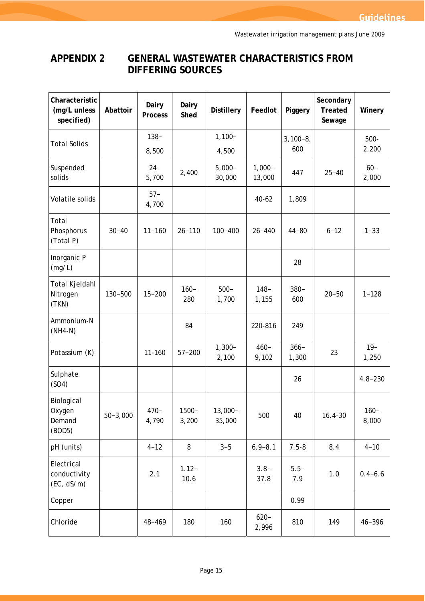# **APPENDIX 2 GENERAL WASTEWATER CHARACTERISTICS FROM DIFFERING SOURCES**

| Characteristic<br>(mg/L unless<br>specified) | Abattoir     | Dairy<br><b>Process</b> | Dairy<br>Shed     | <b>Distillery</b>    | Feedlot             | Piggery           | Secondary<br><b>Treated</b><br>Sewage | Winery           |
|----------------------------------------------|--------------|-------------------------|-------------------|----------------------|---------------------|-------------------|---------------------------------------|------------------|
| <b>Total Solids</b>                          |              | $138 -$                 |                   | $1,100 -$            |                     | $3,100-8,$<br>600 |                                       | $500-$<br>2,200  |
|                                              |              | 8,500                   |                   | 4,500                |                     |                   |                                       |                  |
| Suspended<br>solids                          |              | $24 -$<br>5,700         | 2,400             | $5,000 -$<br>30,000  | $1,000 -$<br>13,000 | 447               | $25 - 40$                             | $60 -$<br>2,000  |
| Volatile solids                              |              | $57 -$<br>4,700         |                   |                      | $40 - 62$           | 1,809             |                                       |                  |
| Total<br>Phosphorus<br>(Total P)             | $30 - 40$    | $11 - 160$              | $26 - 110$        | $100 - 400$          | $26 - 440$          | $44 - 80$         | $6 - 12$                              | $1 - 33$         |
| Inorganic P<br>(mg/L)                        |              |                         |                   |                      |                     | 28                |                                       |                  |
| Total Kjeldahl<br>Nitrogen<br>(TKN)          | 130-500      | $15 - 200$              | $160 -$<br>280    | $500 -$<br>1,700     | $148 -$<br>1,155    | $380 -$<br>600    | $20 - 50$                             | $1 - 128$        |
| Ammonium-N<br>$(NH4-N)$                      |              |                         | 84                |                      | 220-816             | 249               |                                       |                  |
| Potassium (K)                                |              | 11-160                  | $57 - 200$        | $1,300-$<br>2,100    | $460 -$<br>9,102    | $366-$<br>1,300   | 23                                    | $19-$<br>1,250   |
| Sulphate<br>(SO4)                            |              |                         |                   |                      |                     | 26                |                                       | $4.8 - 230$      |
| Biological<br>Oxygen<br>Demand<br>(BOD5)     | $50 - 3,000$ | $470 -$<br>4,790        | $1500 -$<br>3,200 | $13,000 -$<br>35,000 | 500                 | 40                | $16.4 - 30$                           | $160 -$<br>8,000 |
| pH (units)                                   |              | $4 - 12$                | 8                 | $3 - 5$              | $6.9 - 8.1$         | $7.5 - 8$         | 8.4                                   | $4 - 10$         |
| Electrical<br>conductivity<br>(EC, dS/m)     |              | 2.1                     | $1.12 -$<br>10.6  |                      | $3.8-$<br>37.8      | $5.5-$<br>7.9     | 1.0                                   | $0.4 - 6.6$      |
| Copper                                       |              |                         |                   |                      |                     | 0.99              |                                       |                  |
| Chloride                                     |              | 48-469                  | 180               | 160                  | $620 -$<br>2,996    | 810               | 149                                   | $46 - 396$       |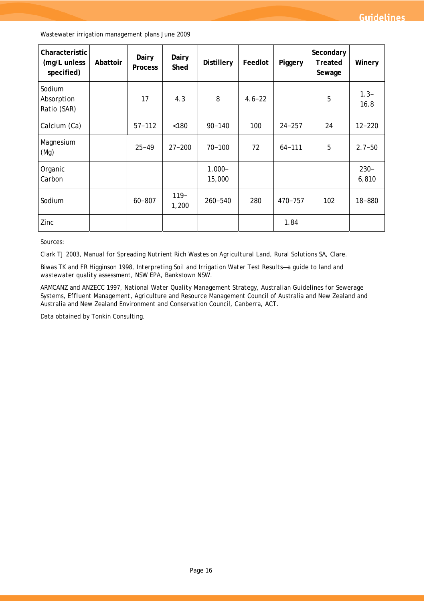| Characteristic<br>(mg/L unless<br>specified) | Abattoir | Dairy<br><b>Process</b> | Dairy<br>Shed   | <b>Distillery</b>   | Feedlot    | Piggery     | Secondary<br>Treated<br>Sewage | Winery           |
|----------------------------------------------|----------|-------------------------|-----------------|---------------------|------------|-------------|--------------------------------|------------------|
| Sodium<br>Absorption<br>Ratio (SAR)          |          | 17                      | 4.3             | 8                   | $4.6 - 22$ |             | 5                              | $1.3 -$<br>16.8  |
| Calcium (Ca)                                 |          | $57 - 112$              | < 180           | $90 - 140$          | 100        | $24 - 257$  | 24                             | $12 - 220$       |
| Magnesium<br>(Mg)                            |          | $25 - 49$               | $27 - 200$      | $70 - 100$          | 72         | $64 - 111$  | 5                              | $2.7 - 50$       |
| Organic<br>Carbon                            |          |                         |                 | $1,000 -$<br>15,000 |            |             |                                | $230 -$<br>6,810 |
| Sodium                                       |          | $60 - 807$              | $119-$<br>1,200 | $260 - 540$         | 280        | $470 - 757$ | 102                            | 18-880           |
| Zinc                                         |          |                         |                 |                     |            | 1.84        |                                |                  |

Sources:

Clark TJ 2003, *Manual for Spreading Nutrient Rich Wastes on Agricultural Land*, Rural Solutions SA, Clare.

Biwas TK and FR Higginson 1998, *Interpreting Soil and Irrigation Water Test Results—a guide to land and wastewater quality assessment*, NSW EPA, Bankstown NSW.

ARMCANZ and ANZECC 1997, *National Water Quality Management Strategy, Australian Guidelines for Sewerage Systems, Effluent Management*, Agriculture and Resource Management Council of Australia and New Zealand and Australia and New Zealand Environment and Conservation Council, Canberra, ACT.

Data obtained by Tonkin Consulting.